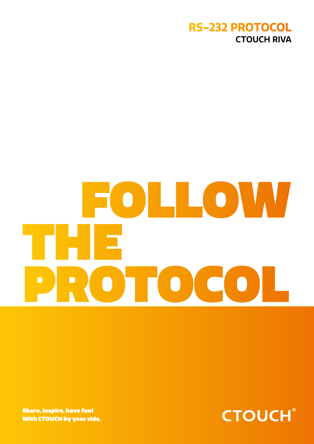

# FOLLOW THE PROTOCO

Share, inspire, have fun! With CTOUCH by your side.

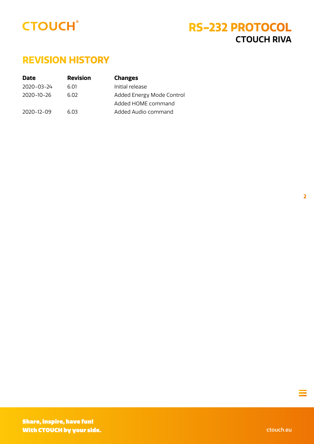<span id="page-1-0"></span>

### **REVISION HISTORY**

| <b>Date</b> | <b>Revision</b> | <b>Changes</b>            |
|-------------|-----------------|---------------------------|
| 2020-03-24  | 6.01            | Initial release           |
| 2020-10-26  | 6 N 2           | Added Energy Mode Control |
|             |                 | Added HOME command        |
| 2020-12-09  | 6.03            | Added Audio command       |
|             |                 |                           |

**2**

 $\equiv$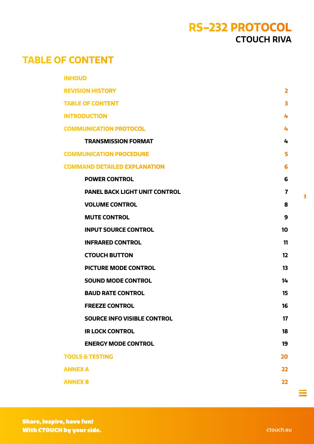### **TABLE OF CONTENT**

| <b>INHOUD</b>                        |                         |
|--------------------------------------|-------------------------|
| <b>REVISION HISTORY</b>              | $\overline{\mathbf{z}}$ |
| <b>TABLE OF CONTENT</b>              | 3                       |
| <b>INTRODUCTION</b>                  | 4                       |
| <b>COMMUNICATION PROTOCOL</b>        | 4                       |
| <b>TRANSMISSION FORMAT</b>           | 4                       |
| <b>COMMUNICATION PROCEDURE</b>       | 5                       |
| <b>COMMAND DETAILED EXPLANATION</b>  | 6                       |
| <b>POWER CONTROL</b>                 | 6                       |
| <b>PANEL BACK LIGHT UNIT CONTROL</b> | 7                       |
| <b>VOLUME CONTROL</b>                | 8                       |
| <b>MUTE CONTROL</b>                  | 9                       |
| <b>INPUT SOURCE CONTROL</b>          | 10                      |
| <b>INFRARED CONTROL</b>              | 11                      |
| <b>CTOUCH BUTTON</b>                 | 12                      |
| <b>PICTURE MODE CONTROL</b>          | 13                      |
| <b>SOUND MODE CONTROL</b>            | 14                      |
| <b>BAUD RATE CONTROL</b>             | 15                      |
| <b>FREEZE CONTROL</b>                | 16                      |
| <b>SOURCE INFO VISIBLE CONTROL</b>   | 17                      |
| <b>IR LOCK CONTROL</b>               | 18                      |
| <b>ENERGY MODE CONTROL</b>           | 19                      |
| <b>TOOLS &amp; TESTING</b>           | 20                      |
| <b>ANNEX A</b>                       | 22                      |
| <b>ANNEX B</b>                       | 22                      |
|                                      |                         |

 $\equiv$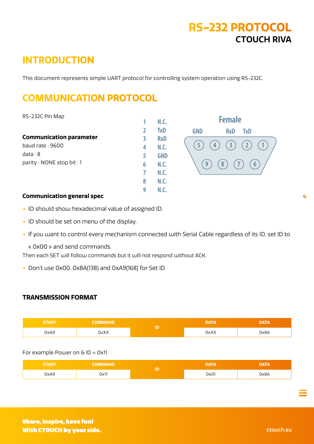### <span id="page-3-0"></span>**INTRODUCTION**

This document represents simple UART protocol for controlling system operation using RS-232C.

**1**

**N.C.**

### **COMMUNICATION PROTOCOL**

RS-232C Pin Map

|                                | 2 | TxD        |
|--------------------------------|---|------------|
| <b>Communication parameter</b> | 3 | <b>RxD</b> |
| baud rate : $9600$             | 4 | N.C.       |
| data:8                         | 5 | <b>GND</b> |
| parity: NONE stop bit: 1       | 6 | N.C.       |
|                                | 7 | N.C.       |
|                                | 8 | N.C.       |
|                                | g |            |



#### **Communication general spec**

- **•** ID should show hexadecimal value of assigned ID.
- **•** ID should be set on menu of the display.
- **•** If you want to control every mechanism connected with Serial Cable regardless of its ID, set ID to
	- « 0x00 » and send commands.

Then each SET will follow commands but it will not respond without ACK.

**•** Don't use 0x00, 0x8A(138) and 0xA9(168) for Set ID.

#### **TRANSMISSION FORMAT**

| <b>START</b> | <b>COMMAND</b> | <b>DATA</b> | <b>DATA</b> |
|--------------|----------------|-------------|-------------|
| 0xA9         | 0xXX           | 0xXX        | 0x8A        |

#### For example Power on & ID = 0x11

| <b>START</b> | OMMAND | <b>DATA</b> | <b>DATA</b> |
|--------------|--------|-------------|-------------|
| 0xA9         | Ox11   | 0x01        | A8xC        |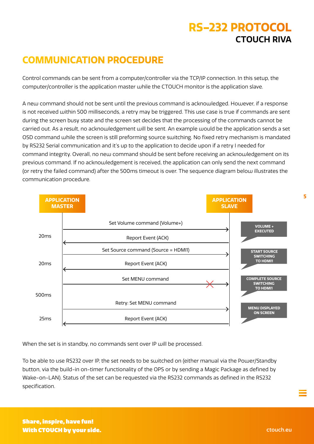### <span id="page-4-0"></span>**COMMUNICATION PROCEDURE**

Control commands can be sent from a computer/controller via the TCP/IP connection. In this setup, the computer/controller is the application master while the CTOUCH monitor is the application slave.

A new command should not be sent until the previous command is acknowledged. However, if a response is not received within 500 milliseconds, a retry may be triggered. This use case is true if commands are sent during the screen busy state and the screen set decides that the processing of the commands cannot be carried out. As a result, no acknowledgement will be sent. An example would be the application sends a set OSD command while the screen is still preforming source switching. No fixed retry mechanism is mandated by RS232 Serial communication and it's up to the application to decide upon if a retry I needed for command integrity. Overall, no new command should be sent before receiving an acknowledgement on its previous command. If no acknowledgement is received, the application can only send the next command (or retry the failed command) after the 500ms timeout is over. The sequence diagram below illustrates the communication procedure.



When the set is in standby, no commands sent over IP will be processed.

To be able to use RS232 over IP, the set needs to be switched on (either manual via the Power/Standby button, via the build-in on-timer functionality of the OPS or by sending a Magic Package as defined by Wake-on-LAN). Status of the set can be requested via the RS232 commands as defined in the RS232 specification.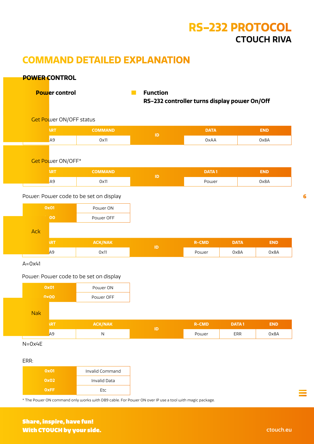### <span id="page-5-0"></span>**COMMAND DETAILED EXPLANATION**

#### **POWER CONTROL**

<sup>c</sup> **Power control** • **Function**

**RS-232 controller turns display power On/Off**

 $\circledcirc$  Get Power ON/OFF status

| <b>START</b> | <b>COMMAND</b> | <b>DATA</b> | 3ND  |
|--------------|----------------|-------------|------|
| 0xA9         | 0x11           | 0xAA        | 0x8A |

#### $\circledcirc$  Get Power ON/OFF\*

| <b>START</b> | <b>COMMAND</b> | ID | <b>DATA1</b> | END  |
|--------------|----------------|----|--------------|------|
| 0xA9         | 0x11           |    | Power        | Ox8A |

#### Power: Power code to be set on display

| OXO1 | Power ON  |
|------|-----------|
| 0x00 | Power OFF |

#### $\overline{Q}$  Ack

| <b>START</b> | <b>ACK/NAK</b> | <b>R-CMD</b> | <b>DATA</b> | END  |
|--------------|----------------|--------------|-------------|------|
| 0xA9         | 0x11           | Power        | 0x8A        | 0x8A |

 $A=0x41$ 

#### Power: Power code to be set on display

| 0x01 | Power ON  |
|------|-----------|
| 0x00 | Power OFF |

#### $\circledcirc$  Nak

| <b>START</b> | <b>ACK/NAK</b> |   | <b>R-CMD</b> | <b>DATA1</b> | END  |
|--------------|----------------|---|--------------|--------------|------|
| 0xA9         | N              | ш | Power        | ERR          | 0x8A |

 $N=0x4E$ 

#### ERR:

| <b>Ox01</b> | Invalid Command     |
|-------------|---------------------|
| 0x02        | <b>Invalid Data</b> |
| <b>OxFF</b> | <b>Ftc</b>          |

\* The Power ON command only works with DB9 cable. For Power ON over IP use a tool with magic package.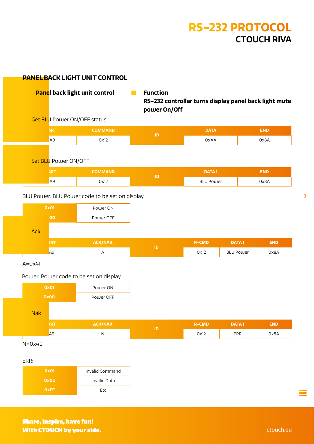#### <span id="page-6-0"></span>**PANEL BACK LIGHT UNIT CONTROL**

 $\sqrt{ }$  Panel back light unit control **Function** 

**RS-232 controller turns display panel back light mute power On/Off**

 $\circledcirc$  Get BLU Power ON/OFF status

| <b>START</b> | <b>OIMMMINI</b> | ATAC | 13 D. |
|--------------|-----------------|------|-------|
| 0xA9         | 0x12            | 0xAA | A8x0  |

#### $\circledcirc$  Set BLU Power ON/OFF

| <b>START</b> | COMMAND | ID | <b>DATA1</b>     | END  |
|--------------|---------|----|------------------|------|
| 0xA9         | 0x12    |    | <b>BLU Power</b> | 0x8A |

#### BLU Power: BLU Power code to be set on display

| OXO1 | Power ON  |
|------|-----------|
| 0x00 | Power OFF |

#### $\overline{\odot}$  Ack

| <b>START</b> | <b>ACK/NAK</b> |   | <b>R-CMD</b> | <b>DATA1</b> | END  |
|--------------|----------------|---|--------------|--------------|------|
| 0xA9         |                | в | 0x12         | BLU Power    | Ox8A |

 $A=0x41$ 

#### Power: Power code to be set on display

| 0x01 | Power ON  |  |  |
|------|-----------|--|--|
| 0x00 | Power OFF |  |  |

#### $\circledcirc$  Nak

| <b>START</b> | <b>ACK/NAK</b> | R-CMD | DATA 1 | END. |
|--------------|----------------|-------|--------|------|
| 0xA9         | ΙN             | 0x12  | ERR    | 0x8A |

 $N=0x4E$ 

ERR:

| 0x01        | Invalid Command     |
|-------------|---------------------|
| 0x02        | <b>Invalid Data</b> |
| <b>OxFF</b> | <b>Ftc</b>          |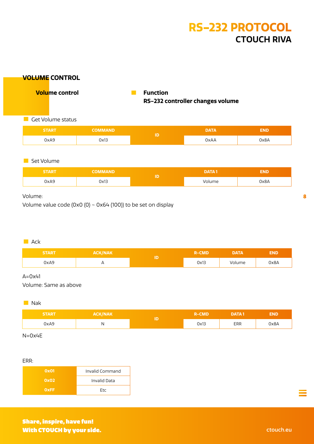#### <span id="page-7-0"></span>**VOLUME CONTROL**

<sup>c</sup> **Volume control** • **Function RS-232 controller changes volume**

#### **• Get Volume status**

| <b>START</b> | СОММАНД | Ð | <b>DATA</b> | END  |
|--------------|---------|---|-------------|------|
| 0xA9         | 0x13    |   | <b>OxAA</b> | Ox8A |

#### **•** Set Volume

| <b>START</b> | <b>COMMAND</b> | <b>DATA1</b> | END  |
|--------------|----------------|--------------|------|
| 0xA9         | 0x13           | Volume       | 0x8A |

#### Volume:

Volume value code (0x0 (0)  $\sim$  0x64 (100)) to be set on display

#### $\blacksquare$  Ack

| <b>START</b> | <b>ACK/NAK</b> |   | :MD<br>. | <b>DATA</b> | END  |
|--------------|----------------|---|----------|-------------|------|
| 0xA9         | <u>_</u>       | æ | 0x13     | Volume      | 0x8A |

#### $A=0x41$

Volume: Same as above

#### **I** Nak

| <b>START</b> | <b>ACK/NAK</b> | <b>R-CMD</b> | DATA 1                             | END  |
|--------------|----------------|--------------|------------------------------------|------|
| 0xA9         |                | 0x13         | $\ensuremath{\mathsf{ERR}}\xspace$ | Ox8A |

N=0x4E

#### ERR:

| 0x01        | Invalid Command     |
|-------------|---------------------|
| 0x02        | <b>Invalid Data</b> |
| <b>OxFF</b> | Ftc                 |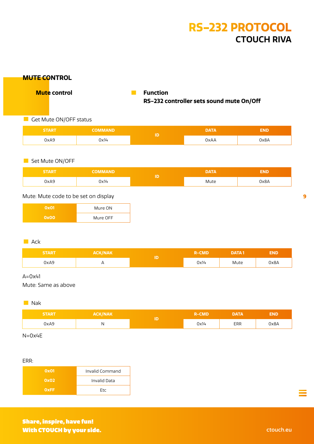<span id="page-8-0"></span>

| Get Mute ON/OFF status<br><b>START</b>                    |                                       |          | RS-232 controller sets sound mute On/Off |              |            |
|-----------------------------------------------------------|---------------------------------------|----------|------------------------------------------|--------------|------------|
|                                                           |                                       |          |                                          |              |            |
|                                                           | <b>COMMAND</b>                        | $\sf ID$ | <b>DATA</b>                              |              | <b>END</b> |
| 0xA9                                                      | 0x14                                  |          | 0xAA                                     |              | 0x8A       |
| Set Mute ON/OFF                                           |                                       |          |                                          |              |            |
| <b>START</b>                                              | <b>COMMAND</b>                        |          | <b>DATA</b>                              |              | <b>END</b> |
| 0xA9                                                      | 0x14                                  | $\sf ID$ | Mute                                     |              | 0x8A       |
| <b>Ox01</b><br>0x00<br>$\blacksquare$ Ack<br><b>START</b> | Mure ON<br>Mure OFF<br><b>ACK/NAK</b> |          | <b>R-CMD</b>                             | <b>DATA1</b> | <b>END</b> |
| 0xA9                                                      | $\mathsf A$                           | $\sf ID$ | 0x14                                     | Mute         | 0x8A       |
|                                                           |                                       |          |                                          |              |            |
| $A=0x41$<br>Mute: Same as above<br>Nak                    |                                       |          |                                          |              |            |
| <b>START</b>                                              | <b>ACK/NAK</b>                        | $\sf ID$ | <b>R-CMD</b>                             | <b>DATA</b>  | <b>END</b> |

#### ERR:

| 0x01        | Invalid Command |
|-------------|-----------------|
| 0x02        | Invalid Data    |
| <b>OXFF</b> | <b>Ftc</b>      |

 $\mathbb{R}^n$ 

**9**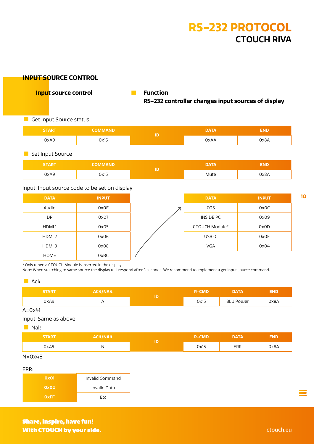#### <span id="page-9-0"></span>**INPUT SOURCE CONTROL**

<sup>c</sup> **Input source control** • **Function**

**RS-232 controller changes input sources of display**

**• Get Input Source status** 

| <b>START</b> | <b>COMMAND</b> | <b>DATA</b> | END  |
|--------------|----------------|-------------|------|
| 0xA9         | 0x15           | 0xAA        | 0x8A |

**• Set Input Source** 

| <b>START</b> | OMMAND. | DATA | END  |
|--------------|---------|------|------|
| OxA9         | 3x15    | Mute | A8xC |

#### Input: Input source code to be set on display

| <b>DATA</b>       | <b>INPUT</b> |
|-------------------|--------------|
| Audio             | 0x0F         |
| DP                | 0x07         |
| HDMI1             | 0x05         |
| HDMI <sub>2</sub> | 0x06         |
| HDMI3             | 0x08         |
| <b>HOME</b>       | 0xBC         |

| <b>DATA</b>    | <b>INPUT</b> |
|----------------|--------------|
| COS            | 0x0C         |
| INSIDE PC      | 0x09         |
| CTOUCH Module* | 0x0D         |
| $USB-C$        | 0x0E         |
| <b>VGA</b>     | 0x04         |
|                |              |

\* Only when a CTOUCH Module is inserted in the display.

Note: When switching to same source the display will respond after 3 seconds. We recommend to implement a get input source command.

#### $\blacksquare$  Ack

| <b>START</b> | <b>ACK/NAK</b> | <b>R-CMD</b> | DATA             | END  |
|--------------|----------------|--------------|------------------|------|
| 0xA9         | $\cdots$       | 0x15         | <b>BLU Power</b> | 0x8A |

 $A=0x41$ 

Input: Same as above

**Nak** 

| <b>START</b>                 | <b>ACK/NAK</b> | R-CMD | DATA | END  |
|------------------------------|----------------|-------|------|------|
| 0xA9<br>$\sim$ $\sim$ $\sim$ | IN.            | 0x15  | ERR  | 0x8A |

 $N=0x4E$ 

ERR:

| ____        |                     |
|-------------|---------------------|
| 0x01        | Invalid Command     |
| 0x02        | <b>Invalid Data</b> |
| <b>OXFF</b> | <b>Ftc</b>          |

Share, inspire, have fun! With CTOUCH by your side. The contract of the contract of the contract of the contract of the contract of the contract of the contract of the contract of the contract of the contract of the contract of the contract of the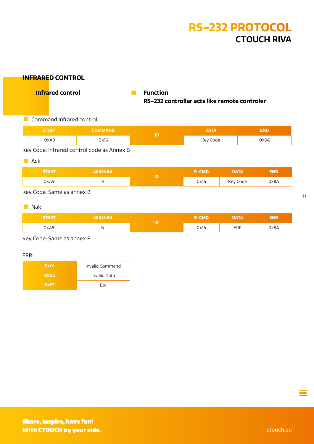#### <span id="page-10-0"></span>**INFRARED CONTROL**

<sup>c</sup> **Infrared control** • **Function**

# **RS-232 controller acts like remote controler**

**• Command Infrared control** 

| <b>START</b> | <b>COMMAND</b>                                                            | Þ | <b>DATA</b> | END  |  |
|--------------|---------------------------------------------------------------------------|---|-------------|------|--|
| 0xA9         | 0x16                                                                      |   | Key Code    | 0x8A |  |
|              | $11$ Carde, $1.6$ is a construction of $\alpha$ and $\alpha$ and $\alpha$ |   |             |      |  |

#### Key Code: Infrared control code as Annex B

 $\blacksquare$  Ack

| <b>START</b> | <b>ACK/NAK</b> |    | <b>R-CMD</b> | <b>DATA</b> | <b>END</b> |
|--------------|----------------|----|--------------|-------------|------------|
| 0xA9         |                | ID | 0x16         | Key Code    | 0x8A       |
|              |                |    |              |             |            |

Key Code: Same as annex B

**Nak** 

| <b>START</b> | <b>ACK/NAK</b> | ID | <b>R-CMD</b> | <b>DATA</b> | <b>END</b> |
|--------------|----------------|----|--------------|-------------|------------|
| 0xA9         | N              |    | 0x16         | ERR         | 0x8A       |

Key Code: Same as annex B

ERR:

| 0x01        | Invalid Command     |
|-------------|---------------------|
| 0x02        | <b>Invalid Data</b> |
| <b>OxFF</b> | <b>Ftc</b>          |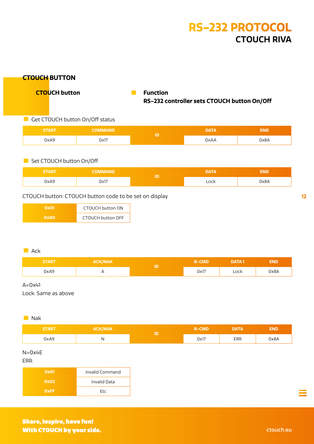#### <span id="page-11-0"></span>**CTOUCH BUTTON**

**CTOUCH button Function** 

# **RS-232 controller sets CTOUCH button On/Off**

#### $\blacksquare$  Get CTOUCH button On/Off status

| <b>START</b> | IMMAND | <b>DATA</b> | END  |
|--------------|--------|-------------|------|
| 0xA9         | 0x17   | 0xAA        | 0x8A |

#### **• Set CTOUCH button On/Off**

| <b>START</b> | <b>COMMAND</b> | ID | <b>DATA</b> | END  |
|--------------|----------------|----|-------------|------|
| 0xA9         | 0x17           |    | Lock        | 0x8A |

#### CTOUCH button: CTOUCH button code to be set on display

| OXO1        | CTOUCH button ON         |
|-------------|--------------------------|
| <b>OxOO</b> | <b>CTOUCH button OFF</b> |

#### $\blacksquare$  Ack

| <b>START</b> | <b>ACK/NAK</b> | R-CMD | DATA 1 | END  |
|--------------|----------------|-------|--------|------|
| 0xA9         | $\cdot$ .      | 0x17  | Lock   | 0x8A |

#### $A=0x41$

Lock: Same as above

#### **START ACK/NAK ID R-CMD DATA END** 0xA9 | N | N | N | N | DX17 | ERR | 0x8A **Nak**

 $N=0x4F$ 

ERR:

| 0x01        | Invalid Command     |
|-------------|---------------------|
| 0x02        | <b>Invalid Data</b> |
| <b>OXFF</b> | <b>Ftc</b>          |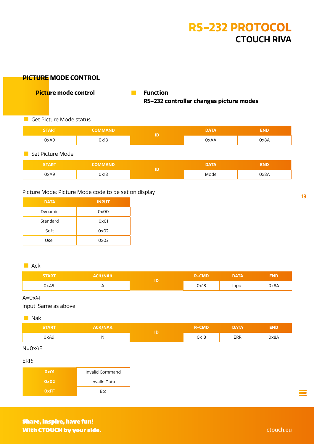#### <span id="page-12-0"></span>**PICTURE MODE CONTROL**

<sup>c</sup> **Picture mode control** • **Function**

**RS-232 controller changes picture modes** 

**• Get Picture Mode status** 

| <b>START</b> | <b>COMMAND</b> | <b>DATA</b> | END  |
|--------------|----------------|-------------|------|
| 0xA9         | 0x18           | 0xAA        | 0x8A |
|              |                |             |      |

**• Set Picture Mode** 

| <b>START</b> | <b>COMMAND</b> | DATA | END                          |
|--------------|----------------|------|------------------------------|
| 0xA9         | )x18           | Mode | A8xC<br>$\sim$ $\sim$ $\sim$ |

#### Picture Mode: Picture Mode code to be set on display

| <b>DATA</b> | <b>INPUT</b> |
|-------------|--------------|
| Dynamic     | 0x00         |
| Standard    | 0x01         |
| Soft        | 0x02         |
| User        | 0x03         |

#### $\blacksquare$  Ack

| <b>START</b> | ACK/NAK <sup>1</sup> | CMD  | DATA  | END  |
|--------------|----------------------|------|-------|------|
| 0xA9         | $\cdot$ .            | 0x18 | Input | 0x8A |

#### $A=0x41$

Input: Same as above

#### **START ACK/NAK R-CMD DATA END** 0xA9 N 0x18 ERR 0x8A **b** Nak

N=0x4E

ERR:

| 0x01        | Invalid Command     |
|-------------|---------------------|
| 0x02        | <b>Invalid Data</b> |
| <b>OXFF</b> | <b>Ftc</b>          |

**13**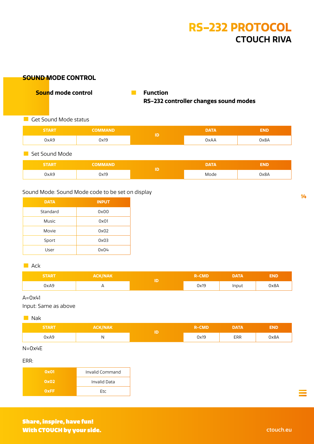#### <span id="page-13-0"></span>**SOUND MODE CONTROL**

**c** Sound mode control **Function** 

**RS-232 controller changes sound modes** 

**• Get Sound Mode status** 

| <b>START</b> | <b>COMMAND</b> |    | <b>DATA</b> | END  |
|--------------|----------------|----|-------------|------|
| 0xA9         | 0x19           | ΙD | 0xAA        | 0x8A |
|              |                |    |             |      |

**• Set Sound Mode** 

| <b>START</b> | <b>JMMAND</b> | <b>DATA</b> | тур. |
|--------------|---------------|-------------|------|
| 0xA9         | 0x19          | Mode        | 0x8A |

#### Sound Mode: Sound Mode code to be set on display

| <b>DATA</b> | <b>INPUT</b> |
|-------------|--------------|
| Standard    | 0x00         |
| Music       | 0x01         |
| Movie       | 0x02         |
| Sport       | 0x03         |
| User        | 0x04         |

#### $\blacksquare$  Ack

| <b>START</b> | <b>ACK/NAK</b> |   | CMD<br>2-I | DATA  | END  |
|--------------|----------------|---|------------|-------|------|
| 0xA9         |                | ю | 0x19       | Input | 0x8A |

#### $A=0x41$

Input: Same as above

**Nak** 

| <b>START</b>          | <b>ACK/NAK</b> | <b>R-CMD</b> | <b>DATA</b> | END  |
|-----------------------|----------------|--------------|-------------|------|
| 0xA9<br>$\sim$ $\sim$ | $\cdots$       | 0x19         | ERR         | 0x8A |

N=0x4E

ERR:

| 0x01        | Invalid Command     |
|-------------|---------------------|
| 0x02        | <b>Invalid Data</b> |
| <b>OxFF</b> | <b>Ftc</b>          |

**14**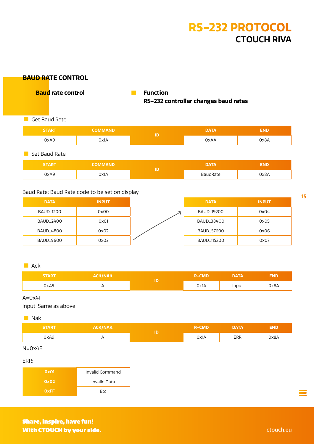#### <span id="page-14-0"></span>**BAUD RATE CONTROL**

<sup>c</sup> **Baud rate control** • **Function**

**RS-232 controller changes baud rates**

#### **C** Get Baud Rate

| <b>START</b> | <b>COMMAND</b> |     | <b>DATA</b> | END  |
|--------------|----------------|-----|-------------|------|
| 0xA9         | 0x1A           | 1 D | 0xAA        | 0x8A |
|              |                |     |             |      |

**• Set Baud Rate** 

| <b>START</b> |      | IБ | VAT.      | END  |
|--------------|------|----|-----------|------|
| 0xA9         | 0x1A |    | Rate<br>. | 0x8A |

#### Baud Rate: Baud Rate code to be set on display

| <b>DATA</b>                 | <b>INPUT</b> | <b>DATA</b>                   | <b>INPUT</b> |
|-----------------------------|--------------|-------------------------------|--------------|
| BAUD <sub>-</sub> 1200      | 0x00         | BAUD <sub>-</sub> 19200       | 0x04         |
| BAUD <sub>-</sub> 2400      | 0x01         | BAUD <sub>-38400</sub>        | 0x05         |
| <b>BAUD<sub>-4800</sub></b> | 0x02         | <b>BAUD_57600</b>             | 0x06         |
| BAUD <sub>-9600</sub>       | 0x03         | <b>BAUD<sub>-115200</sub></b> | 0x07         |

#### $\blacksquare$  Ack

| <i><b>START</b></i> | ACK/NAK <sup>1</sup> | <b>R-CMD</b> | DATA  | END  |
|---------------------|----------------------|--------------|-------|------|
| 0xA9                |                      | 0x1A         | Input | 0x8A |

#### $A=0x41$

Input: Same as above

#### **START ACK/NAK R-CMD DATA END** 0xA9 A 0x1A ERR 0x8A **b** Nak

N=0x4E

ERR:

| 0x01        | Invalid Command     |
|-------------|---------------------|
| 0x02        | <b>Invalid Data</b> |
| <b>OxFF</b> | <b>Ftc</b>          |

**15**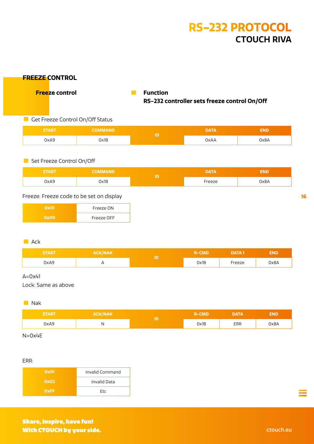#### <span id="page-15-0"></span>**FREEZE CONTROL**

<sup>c</sup> **Freeze control** • **Function**

# **RS-232 controller sets freeze control On/Off**

#### **• Get Freeze Control On/Off Status**

| START/ | <b>COMMAND</b> | ΙD | <b>DATA</b> | END  |
|--------|----------------|----|-------------|------|
| 0xA9   | 0x1B           |    | 0xAA        | 0x8A |

#### **• Set Freeze Control On/Off**

| <b>START</b> | <b>COMMAND</b> | <b>DATA</b>        | 3ND  |
|--------------|----------------|--------------------|------|
| 0xA9         | 0x1B           | <sup>c</sup> reeze | 0x8A |

#### Freeze: Freeze code to be set on display

| 0x01 | Freeze ON  |
|------|------------|
| 0x00 | Freeze OFF |

#### $\blacksquare$  Ack

| <b>START</b> | <b>ACK/NAK</b> |   | <b>R-CMD</b> | <b>DATA1</b> | END  |
|--------------|----------------|---|--------------|--------------|------|
| 0xA9         | $\cdots$       | ю | 0x1B         | Freeze       | 0x8A |

#### $A=0x41$

Lock: Same as above

#### **b** Nak

| <b>START</b> | <b>ACK/NAK</b> | <b>R-CMD</b> | DATA | END  |
|--------------|----------------|--------------|------|------|
| 0xA9         |                | 0x1B         | ERR  | 0x8A |

N=0x4E

#### ERR:

| 0x01        | Invalid Command     |
|-------------|---------------------|
| 0x02        | <b>Invalid Data</b> |
| <b>OxFF</b> | <b>Ftc</b>          |

**16**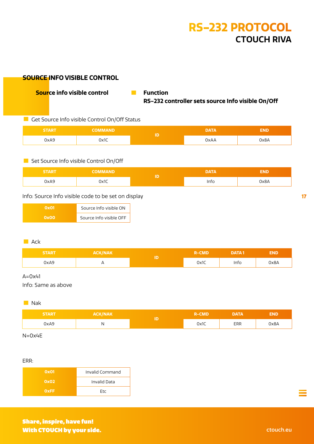#### <span id="page-16-0"></span>**SOURCE INFO VISIBLE CONTROL**

 $\sqrt{ }$  Source info visible control **Function** 

**RS-232 controller sets source Info visible On/Off**

#### Get Source Info visible Control On/Off Status

| <b>START</b> | <b>COMMAND</b> | ID | <b>DATA</b> | END  |
|--------------|----------------|----|-------------|------|
| 0xA9         | 0x1C           |    | 0xAA        | 0x8A |

#### **• Set Source Info visible Control On/Off**

| <b>START</b> | COMMAND | <b>DATA</b> | END  |
|--------------|---------|-------------|------|
| 0xA9         | 0x1C    | Info        | A8xC |

#### Info: Source Info visible code to be set on display

| Ox01        | Source Info visible ON  |
|-------------|-------------------------|
| <b>OxOO</b> | Source Info visible OFF |

#### $\blacksquare$  Ack

| <b>START</b> | ACK/NAK <sup>1</sup> | R-CMD' | <b>DATA1</b> | END  |
|--------------|----------------------|--------|--------------|------|
| 0xA9         | $\cdots$             | Ox1C   | Info         | 0x8A |

#### $A=0x41$

Info: Same as above

#### **b** Nak

| <b>START</b> | <b>ACK/NAK</b> | <b>R-CMD</b> | DATA | END. |
|--------------|----------------|--------------|------|------|
| 0xA9         |                | 0x1C         | ERR  | 0x8A |

N=0x4E

#### ERR:

| <b>Ox01</b> | Invalid Command     |
|-------------|---------------------|
| 0x02        | <b>Invalid Data</b> |
| <b>OxFF</b> | Ftc                 |

Share, inspire, have fun! With CTOUCH by your side. The contract of the contract of the contract of the contract of the contract of the contract of the contract of the contract of the contract of the contract of the contract of the contract of the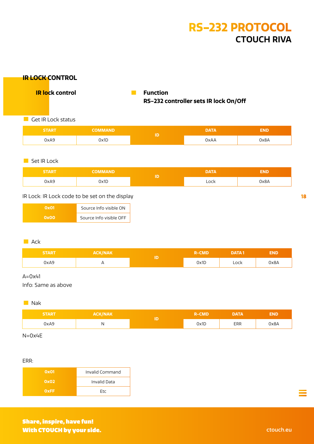**DATA END**

**DATA END**

**R-CMD DATA 1 END**

<span id="page-17-0"></span>

| <b>IR LOCK CONTROL</b>                           |                         |    |                                                          |              |              |            |
|--------------------------------------------------|-------------------------|----|----------------------------------------------------------|--------------|--------------|------------|
| <b>IR lock control</b><br>$\odot$                |                         | m. | <b>Function</b><br>RS-232 controller sets IR lock On/Off |              |              |            |
| Get IR Lock status<br>$\mathcal{L}^{\text{max}}$ |                         |    |                                                          |              |              |            |
| <b>START</b>                                     | <b>COMMAND</b>          |    | ID                                                       | <b>DATA</b>  |              | <b>END</b> |
| 0xA9                                             | 0x1D                    |    |                                                          | <b>OxAA</b>  |              | 0x8A       |
| Set IR Lock<br><b>START</b>                      | <b>COMMAND</b>          |    |                                                          | <b>DATA</b>  |              | <b>END</b> |
| 0xA9                                             | 0x1D                    |    | ID                                                       | Lock         |              | 0x8A       |
| IR Lock: IR Lock code to be set on the display   |                         |    |                                                          |              |              |            |
| <b>Ox01</b>                                      | Source Info visible ON  |    |                                                          |              |              |            |
| 0x00                                             | Source Info visible OFF |    |                                                          |              |              |            |
| $\blacksquare$ Ack                               |                         |    |                                                          |              |              |            |
| <b>START</b>                                     | <b>ACK/NAK</b>          |    |                                                          | <b>R-CMD</b> | <b>DATA1</b> |            |

#### $A=0x41$

Info: Same as above

#### **I** Nak

| <b>START</b> | <b>ACK/NAK</b> |   | <b>R-CMD</b> | DATA | END. |
|--------------|----------------|---|--------------|------|------|
| OxA9         | .,             | в | 0x1D         | ERR  | 0x8A |

0xA9 A 0x1D Lock 0x8A

N=0x4E

#### ERR:

| <b>Ox01</b> | Invalid Command     |
|-------------|---------------------|
| 0x02        | <b>Invalid Data</b> |
| OxFF.       | <b>Ftc</b>          |

Share, inspire, have fun! **With CTOUCH by your side.** Change of the contract of the contract of the contract of the contract of the contract of the contract of the contract of the contract of the contract of the contract of the contract of the cont Ξ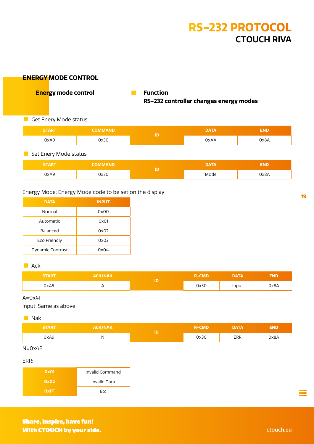#### <span id="page-18-0"></span>**ENERGY MODE CONTROL**

**C Energy mode control <b>Function** 

## **RS-232 controller changes energy modes**

**C** Get Enery Mode status

| <b>START</b> | <b>COMMAND</b> | <b>DATA</b> | 3ND  |
|--------------|----------------|-------------|------|
| 0xA9         | Jx30           | 0xAA        | 0x8A |

#### $\blacksquare$  Set Enery Mode status

| <b>START.</b> | <b>COMMAND</b> | ID | DATA | IND  |
|---------------|----------------|----|------|------|
| 0xA9          | )x30           |    | Mode | A8xC |

#### Energy Mode: Energy Mode code to be set on the display

| <b>DATA</b>      | <b>INPUT</b> |
|------------------|--------------|
| Normal           | 0x00         |
| Automatic        | 0x01         |
| Balanced         | 0x02         |
| Eco Friendly     | 0x03         |
| Dynamic Contrast | OxO4         |

#### $\blacksquare$  Ack

| <b>START</b> | <b>ACK/NAK</b> |   | CMD<br>2 - I | DATA  | END  |
|--------------|----------------|---|--------------|-------|------|
| 0xA9         |                | ю | 0x30         | Input | 0x8A |

#### $A=0x41$

Input: Same as above

#### **Nak**

| <b>START</b> | <b>ACK/NAK</b> | ID | <b>R-CMD</b> | <b>DATA</b> | END. |
|--------------|----------------|----|--------------|-------------|------|
| 0xA9         |                |    | 0x30         | ERR         | 0x8A |

N=0x4E

ERR:

| 0x01        | Invalid Command |
|-------------|-----------------|
| 0x02        | Invalid Data    |
| <b>OXFF</b> | <b>Ftc</b>      |

**19**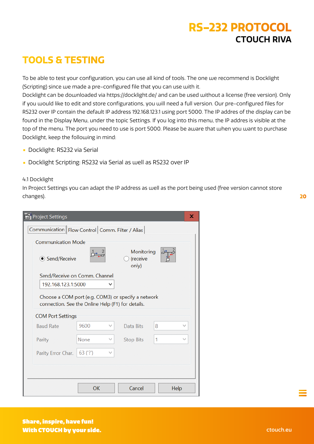### <span id="page-19-0"></span>**TOOLS & TESTING**

To be able to test your configuration, you can use all kind of tools. The one we recommend is Docklight (Scripting) since we made a pre-configured file that you can use with it.

Docklight can be downloaded via https://docklight.de/ and can be used without a license (free version). Only if you would like to edit and store configurations, you will need a full version. Our pre-configured files for RS232 over IP contain the default IP address 192.168.123.1 using port 5000. The IP addres of the display can be found in the Display Menu, under the topic Settings. If you log into this menu, the IP addres is visible at the top of the menu. The port you need to use is port 5000. Please be aware that when you want to purchase Docklight, keep the following in mind:

- **•** Docklight: RS232 via Serial
- **•** Docklight Scripting: RS232 via Serial as well as RS232 over IP

#### 4.1 Docklight

In Project Settings you can adapt the IP address as well as the port being used (free version cannot store changes).

| <b>Project Settings</b>                                                                                 |                                                 |   |                                 |      | x |  |
|---------------------------------------------------------------------------------------------------------|-------------------------------------------------|---|---------------------------------|------|---|--|
|                                                                                                         | Communication Flow Control Comm. Filter / Alias |   |                                 |      |   |  |
| <b>Communication Mode</b>                                                                               |                                                 |   |                                 |      |   |  |
| ● Send/Receive                                                                                          |                                                 |   | Monitoring<br>(receive<br>only) |      |   |  |
| Send/Receive on Comm. Channel                                                                           |                                                 |   |                                 |      |   |  |
| 192.168.123.1:5000                                                                                      |                                                 |   |                                 |      |   |  |
| Choose a COM port (e.g. COM3) or specify a network<br>connection. See the Online Help (F1) for details. |                                                 |   |                                 |      |   |  |
| <b>COM Port Settings</b>                                                                                |                                                 |   |                                 |      |   |  |
| <b>Baud Rate</b>                                                                                        | 9600                                            | v | Data Bits                       | 8    |   |  |
| Parity                                                                                                  | None                                            |   | <b>Stop Bits</b>                | 1    |   |  |
| Parity Error Char.                                                                                      | $63$ ('?')                                      |   |                                 |      |   |  |
|                                                                                                         |                                                 |   |                                 |      |   |  |
|                                                                                                         |                                                 |   |                                 |      |   |  |
|                                                                                                         | OK                                              |   | Cancel                          | Help |   |  |

**20**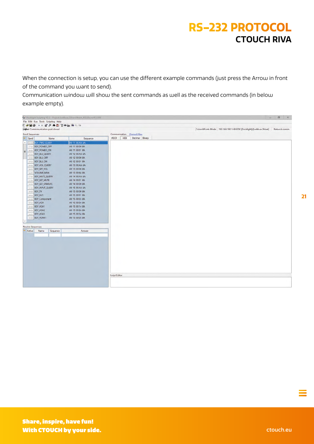When the connection is setup, you can use the different example commands (just press the Arrow in front of the command you want to send).

Communication window will show the sent commands as well as the received commands (in below example empty).

|                          |                                      | C Docklight Scripting V2.2 Project: Leddura_2Share2Meet_RS232overIP_ID00 |                                              |                                                                                  | $-$ $-$ $0$ $x$ |
|--------------------------|--------------------------------------|--------------------------------------------------------------------------|----------------------------------------------|----------------------------------------------------------------------------------|-----------------|
|                          | File Edit Run Tools Scripting Help   |                                                                          |                                              |                                                                                  |                 |
|                          | D # B # 1 # # # B Y * a \$ # H &     |                                                                          |                                              |                                                                                  |                 |
|                          | <b>DH</b> Commmunication port closed |                                                                          |                                              | Colors&Fonts Mode 192.168.100.149.5000 [Docklight]/[Leddura 2Meet] Network comm. |                 |
| Send Sequences           |                                      |                                                                          | Communication Channel Alias                  |                                                                                  |                 |
| ⋍<br>Send                | Name                                 | Sequence                                                                 | <b>ASCII</b><br><b>HEX</b><br>Decimal Binary |                                                                                  |                 |
| $\land$<br>$\rightarrow$ | <b>KEY PWD QUERY</b>                 | A9 11 00 AA 8A                                                           |                                              |                                                                                  |                 |
|                          | ---> KEY_POWER_OFF                   | A9 11 00 00 8A                                                           |                                              |                                                                                  |                 |
| E                        | --- KEY_POWER_ON                     | A9 11 00 01 8A                                                           |                                              |                                                                                  |                 |
|                          | > KEY_BLU_QUERY                      | A9 12 00 AA 8A                                                           |                                              |                                                                                  |                 |
|                          | ---> KEY_BLU_OFF                     | A9 12 00 00 8A                                                           |                                              |                                                                                  |                 |
|                          | ---> KEY_BLU_ON                      | A9 12 00 01 8A                                                           |                                              |                                                                                  |                 |
|                          | ---> KEY_VOL_QUERY                   | A9 13 00 AA 8A                                                           |                                              |                                                                                  |                 |
|                          | --- > KEY_SET_VOL                    | A9 13 00 00 8A                                                           |                                              |                                                                                  |                 |
|                          | ---> VOLUME_MAX                      | A9 13 00 64 8A                                                           |                                              |                                                                                  |                 |
|                          | ---> KEY_MUTE_QUERY                  | A9 14 00 AA 8A                                                           |                                              |                                                                                  |                 |
|                          | ---> KEY_SET_MUTE                    | A9 14 00 01 8A                                                           |                                              |                                                                                  |                 |
|                          | ---> KEY_SET_UNMUTE                  | A9 14 00 00 8A                                                           |                                              |                                                                                  |                 |
|                          | > KEY_INPUT_QUERY                    | A9 15 00 AA 8A                                                           |                                              |                                                                                  |                 |
|                          | ---> KEY_TV                          | A9 15 00 00 8A                                                           |                                              |                                                                                  |                 |
|                          | ---> KEY_AV1                         | A9 15 00 01 8A                                                           |                                              |                                                                                  |                 |
|                          | ---> KEY_Component                   | A9 15 00 03 8A                                                           |                                              |                                                                                  |                 |
|                          | ---> KEY_VGA                         | A9 15 00 04 8A                                                           |                                              |                                                                                  |                 |
|                          | ---> KEY_VGA1                        | A9 15 00 14 8A                                                           |                                              |                                                                                  |                 |
|                          | ---> KEY_VGA2                        | A9 15 00 24 8A                                                           |                                              |                                                                                  |                 |
|                          | $\left $ KEY_VGA3                    | A9 15 00 34 8A                                                           |                                              |                                                                                  |                 |
|                          | $\rightarrow$ KEY_HDMI1              | A9 15 00 05 8A                                                           |                                              |                                                                                  |                 |
| v                        |                                      |                                                                          |                                              |                                                                                  |                 |
|                          | <b>Receive Sequences</b>             |                                                                          |                                              |                                                                                  |                 |
| - Active                 | Name<br>Sequence                     | Answer                                                                   |                                              |                                                                                  |                 |
|                          |                                      |                                                                          |                                              |                                                                                  |                 |
|                          |                                      |                                                                          |                                              |                                                                                  |                 |
|                          |                                      |                                                                          |                                              |                                                                                  |                 |
|                          |                                      |                                                                          |                                              |                                                                                  |                 |
|                          |                                      |                                                                          |                                              |                                                                                  |                 |
|                          |                                      |                                                                          |                                              |                                                                                  |                 |
|                          |                                      |                                                                          |                                              |                                                                                  |                 |
|                          |                                      |                                                                          |                                              |                                                                                  |                 |
|                          |                                      |                                                                          |                                              |                                                                                  |                 |
|                          |                                      |                                                                          |                                              |                                                                                  |                 |
|                          |                                      |                                                                          |                                              |                                                                                  |                 |
|                          |                                      |                                                                          | <b>Script Editor</b>                         |                                                                                  |                 |
|                          |                                      |                                                                          |                                              |                                                                                  |                 |
|                          |                                      |                                                                          |                                              |                                                                                  |                 |
|                          |                                      |                                                                          |                                              |                                                                                  |                 |